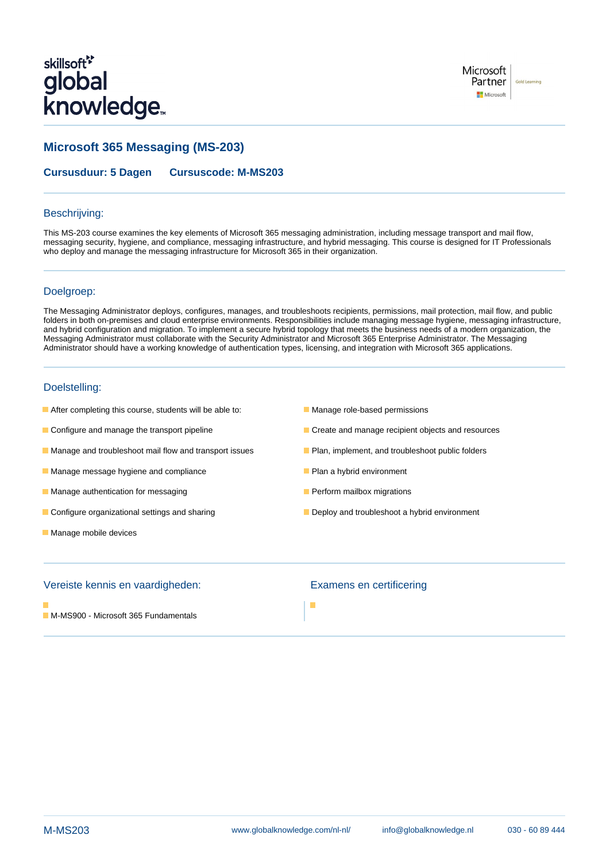# skillsoft<sup>\*</sup> global **knowledge**

Microsoft Partner **Gold Learning** Microsoft

# **Microsoft 365 Messaging (MS-203)**

**Cursusduur: 5 Dagen Cursuscode: M-MS203**

### Beschrijving:

This MS-203 course examines the key elements of Microsoft 365 messaging administration, including message transport and mail flow, messaging security, hygiene, and compliance, messaging infrastructure, and hybrid messaging. This course is designed for IT Professionals who deploy and manage the messaging infrastructure for Microsoft 365 in their organization.

### Doelgroep:

The Messaging Administrator deploys, configures, manages, and troubleshoots recipients, permissions, mail protection, mail flow, and public folders in both on-premises and cloud enterprise environments. Responsibilities include managing message hygiene, messaging infrastructure, and hybrid configuration and migration. To implement a secure hybrid topology that meets the business needs of a modern organization, the Messaging Administrator must collaborate with the Security Administrator and Microsoft 365 Enterprise Administrator. The Messaging Administrator should have a working knowledge of authentication types, licensing, and integration with Microsoft 365 applications.

### Doelstelling:

- **After completing this course, students will be able to:** Manage role-based permissions
- 
- **Manage and troubleshoot mail flow and transport issues Plan, implement, and troubleshoot public folders**
- **Manage message hygiene and compliance Plan a hybrid environment**
- **Manage authentication for messaging Perform Manage authentication for messaging Perform mailbox migrations**
- Configure organizational settings and sharing Deploy and troubleshoot a hybrid environment
- **Manage mobile devices**
- 
- **Configure and manage the transport pipeline** Create and manage recipient objects and resources
	-
	-
	-
	-

### Vereiste kennis en vaardigheden: Examens en certificering

**M-MS900 - Microsoft 365 Fundamentals**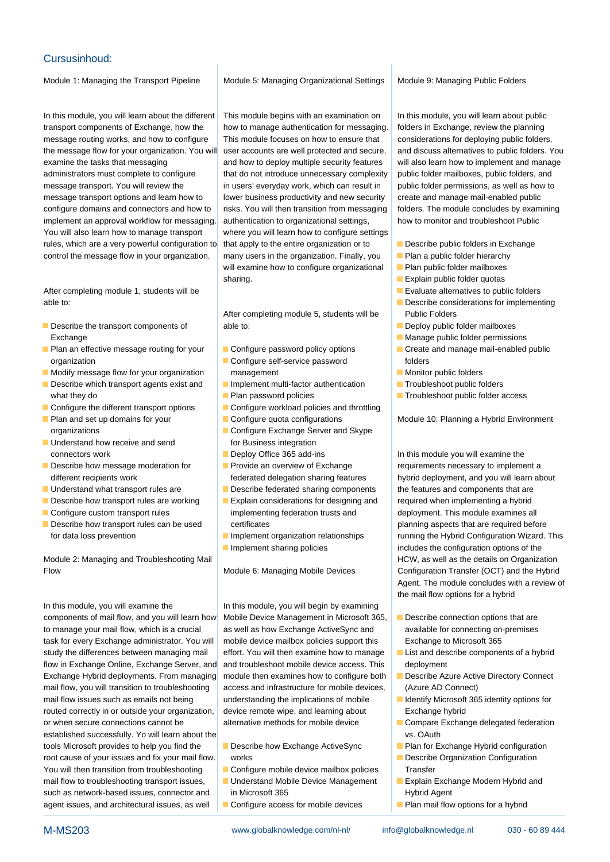### Cursusinhoud:

Module 1: Managing the Transport Pipeline | Module 5: Managing Organizational Settings | Module 9: Managing Public Folders

transport components of Exchange, how the how to manage authentication for messaging. folders in Exchange, review the planning message routing works, and how to configure This module focuses on how to ensure that considerations for deploying public folders, the message flow for your organization. You will user accounts are well protected and secure, and discuss alternatives to public folders. You examine the tasks that messaging and how to deploy multiple security features will also learn how to implement and manage administrators must complete to configure that do not introduce unnecessary complexity public folder mailboxes, public folders, and message transport. You will review the in users' everyday work, which can result in public folder permissions, as well as how to message transport options and learn how to lower business productivity and new security create and manage mail-enabled public configure domains and connectors and how to risks. You will then transition from messaging folders. The module concludes by examining implement an approval workflow for messaging. authentication to organizational settings. Now to monitor and troubleshoot Public You will also learn how to manage transport where you will learn how to configure settings rules, which are a very powerful configuration to that apply to the entire organization or to **Describe public folders in Exchange** control the message flow in your organization.  $\|$  many users in the organization. Finally, you  $\|$  Plan a public folder hierarchy

After completing module 1, students will be line Evaluate alternatives to public folders able to: **Describe considerations for implementing** able to:

- Exchange **line Manage public folder permissions** and Manage public folder permissions
- **Plan an effective message routing for your Configure password policy options** Create and manage mail-enabled public organization **Configure Self-service password** folders
- Modify message flow for your organization management management Monitor public folders
- Describe which transport agents exist and Implement multi-factor authentication Troubleshoot public folders what they do **Plan password policies** Plan password policies **Troubleshoot public folder access**
- 
- 
- Understand how receive and send for Business integration **Deploy Office 365 add-ins In this module you will examine the Interval of the Deploy Office 365 add-ins** In this module you will examine the
- 
- 
- 
- 
- 

Module 2: Managing and Troubleshooting Mail **HCW, as well as the details on Organization** Mail HCW, as well as the details on Organization Flow The Module 6: Managing Mobile Devices Configuration Transfer (OCT) and the Hybrid

components of mail flow, and you will learn how Mobile Device Management in Microsoft 365, **Describe connection options that are** to manage your mail flow, which is a crucial as well as how Exchange ActiveSync and available for connecting on-premises task for every Exchange administrator. You will mobile device mailbox policies support this Exchange to Microsoft 365 study the differences between managing mail effort. You will then examine how to manage **List and describe components of a hybrid** flow in Exchange Online, Exchange Server, and and troubleshoot mobile device access. This deployment Exchange Hybrid deployments. From managing module then examines how to configure both **Describe Azure Active Directory Connect** mail flow, you will transition to troubleshooting access and infrastructure for mobile devices, (Azure AD Connect) mail flow issues such as emails not being understanding the implications of mobile I dentify Microsoft 365 identity options for routed correctly in or outside your organization, device remote wipe, and learning about Exchange hybrid or when secure connections cannot be alternative methods for mobile device Compare Exchange delegated federation established successfully. Yo will learn about the vs. OAuth vs. OAuth vs. OAuth vs. OAuth vs. OAuth vs. OAuth vs. OAuth vs. OAuth vs. OAuth vs. OAuth vs. OAuth vs. OAuth vs. OAuth vs. OAuth vs. OAuth vs. OAuth vs. OAuth vs tools Microsoft provides to help you find the Describe how Exchange ActiveSync Plan for Exchange Hybrid configuration root cause of your issues and fix your mail flow. works Describe Organization Configuration Configuration You will then transition from troubleshooting  $\Box$  Configure mobile device mailbox policies Transfer mail flow to troubleshooting transport issues, Understand Mobile Device Management Explain Exchange Modern Hybrid and such as network-based issues, connector and in Microsoft 365 Hybrid Agent agent issues, and architectural issues, as well **Configure access for mobile devices** Plan mail flow options for a hybrid

line line line

In this module, you will learn about the different This module begins with an examination on In this module, you will learn about public will examine how to configure organizational  $\Box$  Plan public folder mailboxes sharing. The sharing sharing is sharing.

After completing module 5, students will be Public Folders Describe the transport components of able to: **Describe the transport components of** able to:

- 
- 
- 
- 
- Configure the different transport options **■** Configure workload policies and throttling
	-
	- organizations **Configure Exchange Server and Skype** 
		-
		-
- Understand what transport rules are **Describe federated sharing components** the features and components that are
- Configure custom transport rules implementing federation trusts and deployment. This module examines all
	-
	-

In this module, you will examine the In this module, you will begin by examining

- 
- 
- 
- 

- 
- 
- 
- 
- 
- 
- 
- 
- 
- 
- 
- 

**Plan and set up domains for your Configure quota configurations** Module 10: Planning a Hybrid Environment

Describe how message moderation for **Provide an overview of Exchange** requirements necessary to implement a different recipients work **federated delegation sharing features** hybrid deployment, and you will learn about Describe how transport rules are working  $\Box$  Explain considerations for designing and required when implementing a hybrid Describe how transport rules can be used certificates example aspects that are required before for data loss prevention **IMPLEM** Implement organization relationships running the Hybrid Configuration Wizard. This Implement sharing policies includes the configuration options of the Agent. The module concludes with a review of the mail flow options for a hybrid

- 
- 
- 
- 
- 
- 
- 
- 
-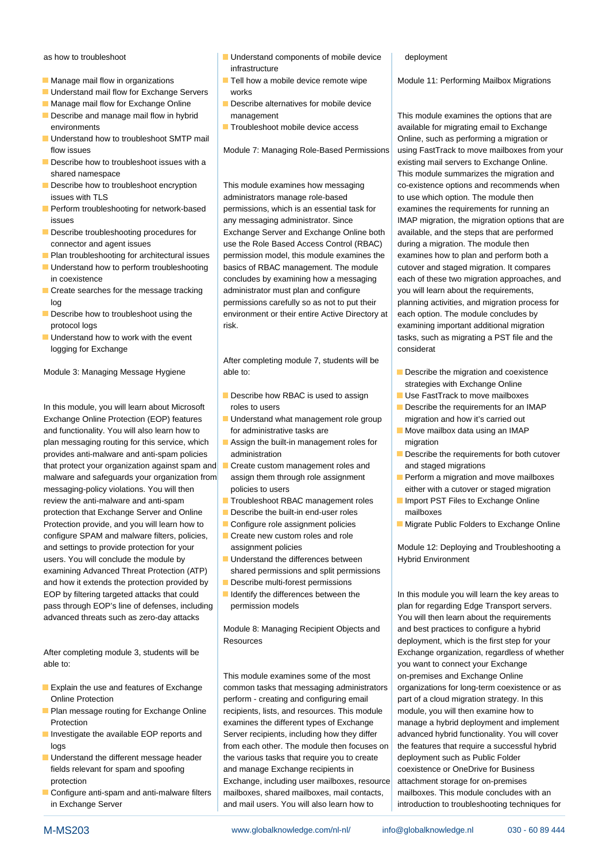- 
- Understand mail flow for Exchange Servers works
- Manage mail flow for Exchange Online **Describe alternatives for mobile device**
- Describe and manage mail flow in hybrid management notice management This module examines the options that are
- Understand how to troubleshoot SMTP mail **Online** and Development of the Such as performing a migration or
- Describe how to troubleshoot issues with a line existing mail servers to Exchange Online. shared namespace **This module summarizes the migration and**  $\blacksquare$  This module summarizes the migration and
- 
- 
- 
- **Plan troubleshooting for architectural issues** permission model, this module examines the examines how to plan and perform both a
- 
- 
- 
- logging for Exchange consideration of the consideration of the consideration of the consideration of the consideration of the consideration of the consideration of the consideration of the consideration of the consideratio

In this module, you will learn about Microsoft roles to users **Describe the requirements for an IMAP** Exchange Online Protection (EOP) features **U** Understand what management role group migration and how it's carried out and functionality. You will also learn how to for administrative tasks are Move mailbox data using an IMAP plan messaging routing for this service, which  $\Box$  Assign the built-in management roles for migration provides anti-malware and anti-spam policies administration and Describe the requirements for both cutover that protect your organization against spam and **Create custom management roles and** and staged migrations malware and safeguards your organization from assign them through role assignment **Perform a migration and move mailboxes** messaging-policy violations. You will then policies to users either with a cutover or staged migration review the anti-malware and anti-spam **Troubleshoot RBAC** management roles **IM** Import PST Files to Exchange Online protection that Exchange Server and Online Describe the built-in end-user roles mailboxes Protection provide, and you will learn how to Configure role assignment policies Migrate Public Folders to Exchange Online configure SPAM and malware filters, policies,  $\Box$  Create new custom roles and role and settings to provide protection for your assignment policies Module 12: Deploying and Troubleshooting and Troubleshooting and Troubleshooting and Troubleshooting and Troubleshooting and Troubleshooting and Troubleshooti users. You will conclude the module by Understand the differences between Hybrid Environment examining Advanced Threat Protection (ATP) shared permissions and split permissions and how it extends the protection provided by  $\Box$  Describe multi-forest permissions EOP by filtering targeted attacks that could Intertify the differences between the In this module you will learn the key areas to pass through EOP's line of defenses, including permission models plan for regarding Edge Transport servers. advanced threats such as zero-day attacks **You will then learn about the requirements** 

able to: **you want to connect your Exchange** 

- 
- 
- 
- 
- 
- as how to troubleshoot and Understand components of mobile device deployment infrastructure
	-
	-
	-

Describe how to troubleshoot encryption This module examines how messaging co-existence options and recommends when issues with TLS and the module then administrators manage role-based to use which option. The module then  $\blacksquare$  Perform troubleshooting for network-based  $\blacksquare$  permissions, which is an essential task for  $\blacksquare$  examines the requirements for running an issues any messaging administrator. Since **IMAP migration, the migration options that are** Describe troubleshooting procedures for Exchange Server and Exchange Online both available, and the steps that are performed connector and agent issues use the Role Based Access Control (RBAC) during a migration. The module then Understand how to perform troubleshooting  $\Box$  basics of RBAC management. The module cutover and staged migration. It compares in coexistence concludes by examining how a messaging each of these two migration approaches, and  $\blacksquare$  Create searches for the message tracking  $\blacksquare$  administrator must plan and configure  $\blacksquare$  you will learn about the requirements, log permissions carefully so as not to put their planning activities, and migration process for Describe how to troubleshoot using the environment or their entire Active Directory at each option. The module concludes by protocol logs examining important additional migration risk.

After completing module 7, students will be Module 3: Managing Message Hygiene able to: able to: Describe the migration and coexistence

- Describe how RBAC is used to assign Use FastTrack to move mailboxes
- 
- 
- 
- 
- 
- 
- 
- 
- 
- 

Resources deployment, which is the first step for your

This module examines some of the most on-premises and Exchange Online **Explain the use and features of Exchange** common tasks that messaging administrators organizations for long-term coexistence or as Online Protection **perform - creating and configuring email** part of a cloud migration strategy. In this Plan message routing for Exchange Online | recipients, lists, and resources. This module | module, you will then examine how to Protection examines the different types of Exchange manage a hybrid deployment and implement Investigate the available EOP reports and Server recipients, including how they differ advanced hybrid functionality. You will cover logs from each other. The module then focuses on the features that require a successful hybrid Understand the different message header  $\parallel$  the various tasks that require you to create deployment such as Public Folder fields relevant for spam and spoofing and manage Exchange recipients in coexistence or OneDrive for Business protection Exchange, including user mailboxes, resource attachment storage for on-premises Configure anti-spam and anti-malware filters  $\mid$  mailboxes, shared mailboxes, mail contacts,  $\mid$  mailboxes. This module concludes with an in Exchange Server **and maill users.** You will also learn how to introduction to troubleshooting techniques for

Manage mail flow in organizations **Tell how a mobile device remote wipe** Module 11: Performing Mailbox Migrations

environments Troubleshoot mobile device access and available for migrating email to Exchange flow issues **Module 7: Managing Role-Based Permissions** using FastTrack to move mailboxes from your ■ Understand how to work with the event line tasks, such as migrating a PST file and the

- strategies with Exchange Online
- 
- 
- 
- 
- 
- 
- 

Module 8: Managing Recipient Objects and  $\Box$  and best practices to configure a hybrid After completing module 3, students will be line Exchange organization, regardless of whether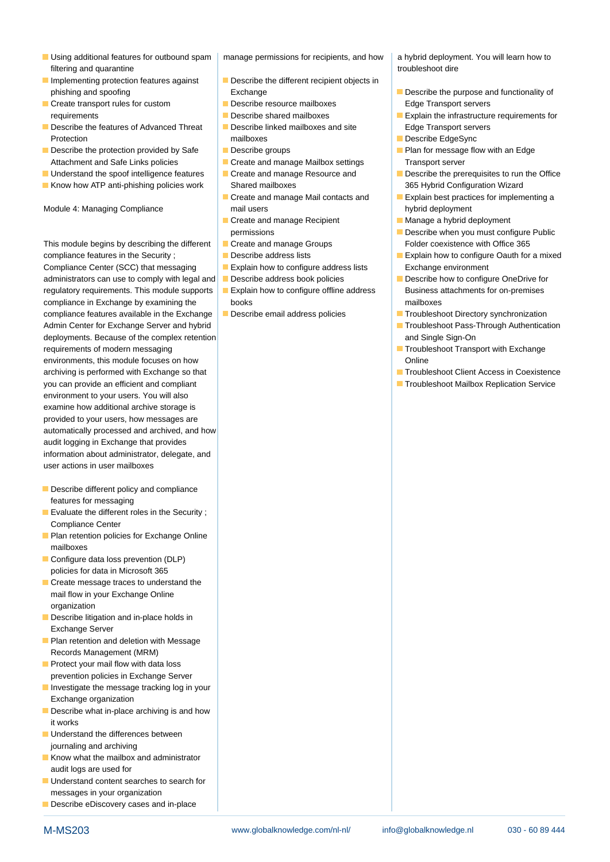- Using additional features for outbound spam | manage permissions for recipients, and how | a hybrid deployment. You will learn how to filtering and quarantine transfer that the state of the state of the state of the state of the state of the state of the state of the state of the state of the state of the state of the state of the state of the state of t
- Implementing protection features against Describe the different recipient objects in
- **Exercise transport rules for custom** Describe resource mailboxes **Describe resource mailboxes** Edge Transport servers
- Describe the features of Advanced Threat  $\Box$  Describe linked mailboxes and site Edge Transport servers Protection **Exercise EdgeSync** mailboxes **Describe EdgeSync Describe EdgeSync**
- Attachment and Safe Links policies **Create and manage Mailbox settings** Transport server
- 
- Know how ATP anti-phishing policies work Shared mailboxes 365 Hybrid Configuration Wizard

Module 4: Managing Compliance and mail users hyproducers hyproducers hyproducers hyproducers hyproducers hyproducers hyproducers hyproducers hyproducers hyproducers hyproducers hyproducers hyproducers hyproducers hyproduce

This module begins by describing the different Create and manage Groups Folder coexistence with Office 365 compliance features in the Security ; **Describe address lists** Explain how to configure Oauth for a mixed Compliance Center (SCC) that messaging Explain how to configure address lists Exchange environment administrators can use to comply with legal and Describe address book policies Describe how to configure OneDrive for regulatory requirements. This module supports  $\Box$  Explain how to configure offline address  $\Box$  Business attachments for on-premises compliance in Exchange by examining the books in the books mailboxes compliance features available in the Exchange Describe email address policies Troubleshoot Directory synchronization Admin Center for Exchange Server and hybrid **Troubleshoot Pass-Through Authentication** Authentication deployments. Because of the complex retention and Single Sign-On and Single Sign-On requirements of modern messaging Transport with Exchange Transport with Exchange environments, this module focuses on how Online Communication of the Communication of the Communication of the Online archiving is performed with Exchange so that  $\parallel$  Troubleshoot Client Access in Coexistence you can provide an efficient and compliant Troubleshoot Mailbox Replication Service environment to your users. You will also examine how additional archive storage is provided to your users, how messages are automatically processed and archived, and how audit logging in Exchange that provides information about administrator, delegate, and user actions in user mailboxes

- Describe different policy and compliance features for messaging
- Evaluate the different roles in the Security ; Compliance Center
- **Plan retention policies for Exchange Online** mailboxes
- Configure data loss prevention (DLP) policies for data in Microsoft 365
- Create message traces to understand the mail flow in your Exchange Online organization
- Describe litigation and in-place holds in Exchange Server
- **Plan retention and deletion with Message** Records Management (MRM)
- **Protect your mail flow with data loss** prevention policies in Exchange Server
- Investigate the message tracking log in your Exchange organization
- Describe what in-place archiving is and how it works
- **Understand the differences between** journaling and archiving
- Know what the mailbox and administrator audit logs are used for
- **Understand content searches to search for** messages in your organization
- Describe eDiscovery cases and in-place

- 
- 
- 
- 
- 
- 
- 
- $\Box$  Create and manage Recipient Manage a hybrid deployment
- 
- 
- 
- 
- 
- 

- phishing and spoofing **Exchange** Describe the purpose and functionality of
- requirements Describe shared mailboxes Explain the infrastructure requirements for
	-
- Describe the protection provided by Safe Describe groups Plan for message flow with an Edge
- Understand the spoof intelligence features Create and manage Resource and Describe the prerequisites to run the Office
	- Create and manage Mail contacts and **Explain best practices for implementing a** 
		-
	- permissions **Describe when you must configure Public** 
		-
		-
		-
		-
		-
		-
		-